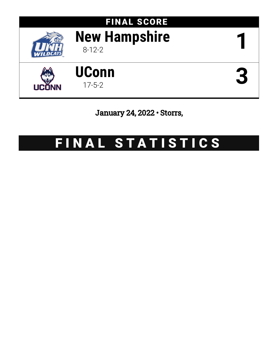

# FINAL SCORE **New Hampshire** 8-12-2 **1**





January 24, 2022 • Storrs,

# FINAL STATISTICS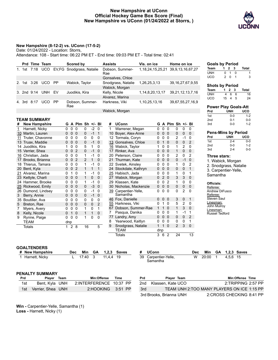#### **New Hampshire at UConn Official Hockey Game Box Score (Final) New Hampshire vs UConn (01/24/2022 at Storrs, )**



#### **New Hampshire (8-12-2) vs. UConn (17-5-2)**

Date: 01/24/2022 - Location: Storrs,

Attendance: 108 - Start time: 06:22 PM ET - End time: 09:03 PM ET - Total time: 02:41

|    |        |      | Prd Time Team      |           | Scored by                                 | <b>Assists</b>         | Vis. on ice          | Home on ice                                 |
|----|--------|------|--------------------|-----------|-------------------------------------------|------------------------|----------------------|---------------------------------------------|
|    |        |      |                    |           | 1. 1st 7:18 UCO EV, FG Snodgrass, Natalie | Dobson, Summer-<br>Rae |                      | 1, 18, 24, 15, 25, 21 39, 9, 13, 16, 67, 27 |
|    |        |      |                    |           |                                           | Gonsalves, Chloe       |                      |                                             |
| 2. |        |      | 1st 3:26 UCO       | <b>PP</b> | Wabick, Taylor                            | Snodgrass, Natalie     | 1,26,25,3,13         | 39, 16, 27, 67, 9, 55                       |
|    |        |      |                    |           |                                           | Wabick, Morgan         |                      |                                             |
|    |        |      | 3. 2nd 9:14 UNH EV |           | Juodikis, Kira                            | Kelly, Nicole          | 1, 14, 8, 20, 13, 17 | 39, 21, 12, 13, 7, 16                       |
|    |        |      |                    |           |                                           | Alvarez, Marina        |                      |                                             |
|    | 4. 3rd | 8:17 | UCO.               | PP        | Dobson, Summer-<br>Rae                    | Harkness, Viki         | 1,10,25,13,16        | 39,67,55,27,16,9                            |
|    |        |      |                    |           |                                           | Wabick, Morgan         |                      |                                             |

#### **TEAM SUMMARY**

| #  | <b>New Hampshire</b> | G        |                | A Plm Sh $+/-$ Bl |              |             |              | #  | <b>UConn</b>          | G           |          | A Plm Sh      |                |                | +/- BI      |
|----|----------------------|----------|----------------|-------------------|--------------|-------------|--------------|----|-----------------------|-------------|----------|---------------|----------------|----------------|-------------|
| 1  | Harnett, Nicky       | 0        | 0              | $\Omega$          | 0            | $-2$        | $\mathbf{0}$ | 1  | Warrener, Megan       | 0           | 0        | $\Omega$      | 0              | 0              | 0           |
| 10 | Martin, Lauren       | 0        | $\Omega$       | $\mathbf 0$       | 0            | $-1$        | 1            | 10 | Boyer, Alex-Anne      | $\mathbf 0$ | $\Omega$ | $\Omega$      | $\mathbf 0$    | 0              | $\Omega$    |
| 11 | Truter. Chavonne     | 0        | $\Omega$       | 0                 | 0            | $\mathbf 0$ | 0            | 12 | Tormala, Coryn        | 0           | 0        | $\Omega$      | $\overline{2}$ | $-1$           | 0           |
| 13 | Truax, Maddie        | 0        | $\Omega$       | $\Omega$          | 0            | $-1$        | $\mathbf 0$  | 13 | Gonsalves, Chloe      | 0           |          | $\Omega$      | $\mathbf 0$    | $\Omega$       | 2           |
| 14 | Juodikis, Kira       |          | 0              | 0                 | 5            | 1           | 0            | 16 | Wabick, Taylor        |             | 0        | $\Omega$      | 1              | $\overline{2}$ | 0           |
| 15 | Verrier, Shea        | 0        | $\Omega$       | $\overline{2}$    | $\mathbf{0}$ | $-1$        | $\mathbf 0$  | 17 | Rinker, Ava           | $\Omega$    | 0        | $\Omega$      | 1              | 0              | $\mathbf 0$ |
| 16 | Christian, Jada      | 0        | 0              | $\mathbf 0$       | 1            | $-1$        | $\mathbf 0$  | 20 | Peterson, Claire      | 0           | 0        | $\Omega$      | 2              | 0              | 2           |
| 17 | Brooks, Brianna      | 0        | $\Omega$       | $\overline{2}$    | 2            | 1           | $\mathbf 0$  | 21 | Thurman, Kate         | $\mathbf 0$ | $\Omega$ | $\Omega$      | $\mathbf 0$    | $-1$           | $\mathbf 0$ |
| 18 | Thierus, Tamara      | 0        | $\Omega$       | $\mathbf 0$       | 1            | $-1$        | 0            |    | 22 Svetek, Ainsley    | 0           | 0        | $\Omega$      | 1              | 0              | 2           |
| 20 | Bent, Kyla           | 0        | $\Omega$       | $\overline{2}$    | 1            | 1           | 1            |    | 24 Stockdale, Kathryn | 0           | $\Omega$ | $\Omega$      | 0              | 0              | 1           |
|    | 21 Alvarez, Marina   | 0        |                | 0                 | 1            | $-1$        | 0            | 25 | Habisch, Jada         | 0           | 0        | $\Omega$      | 1              | 0              | 1           |
| 23 | Kettyle, Charli      | 0        | 0              | $\mathbf 0$       | 1            | 0           | 0            | 27 | Wabick, Morgan        | 0           | 2        | $\Omega$      | 3              | 3              | $\mathbf 0$ |
|    | 24 Hammer, Brooke    | 0        | $\Omega$       | 0                 | 1            | $-1$        | $\Omega$     | 29 | Klassen, Kate         | 0           | 0        | 2             | 1              | 0              | $\Omega$    |
| 25 | Rickwood, Emily      | 0        | $\Omega$       | $\mathbf 0$       | 0            | -3          | $\mathbf 0$  | 30 | Nicholas, Mackenzie   | 0           | $\Omega$ | $\Omega$      | $\mathbf 0$    | 0              | $\mathbf 0$ |
| 26 | Dumond, Lindsey      | 0        | 0              | 0                 | 0            | $-1$        | 0            | 39 | Carpentier-Yelle,     | 0           | 0        | $\Omega$      | 0              | 2              | $\Omega$    |
| 3  | Berry, Annie         | $\Omega$ | $\Omega$       | $\mathbf 0$       | 0            | $-1$        | $\mathbf 0$  |    | Samantha              |             |          |               |                |                |             |
| 35 | Boutilier, Ava       | 0        | 0              | 0                 | 0            | $\Omega$    | $\Omega$     | 46 | Fox, Danielle         | 0           | 0        | $\mathbf 0$   | 3              | 0              | 1           |
| 5  | Breton, Rae          | 0        | 0              | $\Omega$          | 0            | $\mathbf 0$ | 2            | 55 | Harkness, Viki        | 0           |          | $\Omega$      | 5              | $\overline{2}$ | $\Omega$    |
|    | Myers, Avery         | 0        | ŋ              | $\Omega$          | 1            | $\mathbf 0$ | 1            | 67 | Dobson, Summer-Rae    | 1           | 1        | $\Omega$      | 1              | 3              | $\Omega$    |
| 8  | Kelly, Nicole        | $\Omega$ | 1              | $\Omega$          | 1            | 1           | $\Omega$     | 7  | Pasqua, Danika        | 0           | 0        | $\Omega$      | 1              | $-1$           | 1           |
| 9  | Rynne, Paige         | 0        | ŋ              | $\Omega$          | 1            | 0           | $\Omega$     | 77 | Landry, Amy           | 0           | 0        | $\Omega$      | 0              | 0              | 2           |
|    | TEAM                 | dnp      |                |                   |              |             |              | 8  | Yearwood, Kaitlyn     | 0           | 0        | $\Omega$      | 0              | 0              | 1           |
|    | Totals               | 1        | $\overline{2}$ | 8                 | 16           |             | 5            | 9  | Snodgrass, Natalie    | 1           |          | $\Omega$      | $\overline{2}$ | 3              | $\mathbf 0$ |
|    |                      |          |                |                   |              |             |              |    | TEAM                  | dnp         |          |               |                |                |             |
|    |                      |          |                |                   |              |             |              |    | Totals                | 3           | 6        | $\mathcal{P}$ | 24             |                | 13          |

#### **Goals by Period Team 1 2 3 Total** UNH 0 1 0 1 UCO 2 0 1 3

#### **Shots by Period**

| Team |    | 123            |    | Total |
|------|----|----------------|----|-------|
| UNH  | 4  |                | 66 | 16    |
| UCO  | 15 | $\overline{a}$ | -5 | 24    |

|                 | <b>Power Play Goals-Att</b> |         |
|-----------------|-----------------------------|---------|
| Prd             | <b>UNH</b>                  | uco     |
| 1st             | $0 - 0$                     | $1 - 2$ |
| 2 <sub>nd</sub> | $0 - 1$                     | $0-0$   |
| 3rd             | $0 - 0$                     | $1 - 2$ |
|                 | <b>Pens-Mins by Period</b>  |         |
| Prd             | <b>UNH</b>                  | uco     |
| 1st             | $2 - 4$                     | $0 - 0$ |
| 2 <sub>nd</sub> | $0 - 0$                     | $1 - 2$ |

3rd 2-4 0-0 **Three stars:** 1. Wabick, Morgan 2. Snodgrass, Natalie

3. Carpentier-Yelle, Samantha

#### **Officials:**

Referee: Andrew DiFusco Referee: Steven Saul Linesman: John Mulroy Linesman: Russel Tedford

# **GOALTENDERS**

| # New Hampshire  |  | Dec Min GA 1,2,3 Saves |  |
|------------------|--|------------------------|--|
| 1 Harnett, Nicky |  | L 17:40 3 11.4.4 19    |  |

| # UConn                          | Dec |                    |  | Min GA 1,2,3 Saves |
|----------------------------------|-----|--------------------|--|--------------------|
| 39 Carpentier-Yelle,<br>Samantha |     | W 20:00 1 4.5.6 15 |  |                    |

#### **PENALTY SUMMARY**

| Prd | Plaver Team           | Min:Offense Time        |  |
|-----|-----------------------|-------------------------|--|
| 1st | Bent, Kyla UNH        | 2:INTERFERENCE 10:37 PP |  |
|     | 1st Verrier, Shea UNH | $2:HOOKING$ 3:51 PP     |  |

| Prd | Player Team             | Min:Offense Time                           |
|-----|-------------------------|--------------------------------------------|
| 2nd | Klassen, Kate UCO       | $2:TRIPPING$ $2:57$ PP                     |
| 3rd |                         | TEAM UNH 2:TOO MANY PLAYERS ON ICE 1:15 PP |
|     | 3rd Brooks, Brianna UNH | 2:CROSS CHECKING 8:41 PP                   |

**Win -** Carpentier-Yelle, Samantha (1) **Loss -** Harnett, Nicky (1)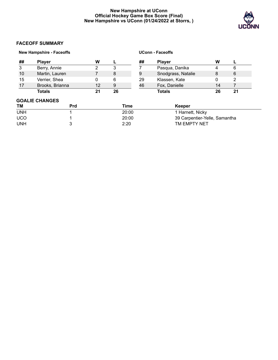# **New Hampshire at UConn Official Hockey Game Box Score (Final) New Hampshire vs UConn (01/24/2022 at Storrs, )**



# **FACEOFF SUMMARY**

|            | <b>New Hampshire - Faceoffs</b> |    |       |    | <b>UConn - Faceoffs</b>       |    |    |
|------------|---------------------------------|----|-------|----|-------------------------------|----|----|
| ##         | <b>Player</b>                   | W  |       | ## | <b>Player</b>                 | W  |    |
| 3          | Berry, Annie                    | 2  | 3     |    | Pasqua, Danika                | 4  | 6  |
| 10         | Martin, Lauren                  | 7  | 8     | 9  | Snodgrass, Natalie            | 8  | 6  |
| 15         | Verrier, Shea                   | 0  | 6     | 29 | Klassen, Kate                 | 0  | 2  |
| 17         | Brooks, Brianna                 | 12 | 9     | 46 | Fox, Danielle                 | 14 | 7  |
|            | <b>Totals</b>                   | 21 | 26    |    | <b>Totals</b>                 | 26 | 21 |
|            | <b>GOALIE CHANGES</b>           |    |       |    |                               |    |    |
| ТM         | <b>Prd</b>                      |    | Time  |    | Keeper                        |    |    |
| <b>UNH</b> |                                 |    | 20:00 |    | 1 Harnett, Nicky              |    |    |
| <b>UCO</b> |                                 |    | 20:00 |    | 39 Carpentier-Yelle, Samantha |    |    |
| <b>UNH</b> | 3                               |    | 2:20  |    | TM EMPTY NET                  |    |    |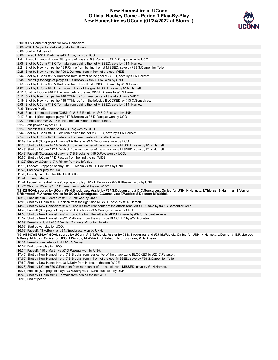# **New Hampshire at UConn Official Hockey Game - Period 1 Play-By-Play New Hampshire vs UConn (01/24/2022 at Storrs, )**



| [0:00] #1 N.Harnett at goalie for New Hampshire.                                                                                                                                                                                                      |
|-------------------------------------------------------------------------------------------------------------------------------------------------------------------------------------------------------------------------------------------------------|
| [0:00] #39 S.Carpentier-Yelle at goalie for UConn.                                                                                                                                                                                                    |
| [0:00] Start of 1st period.                                                                                                                                                                                                                           |
| [0:00] Faceoff: #10 L.Martin vs #46 D.Fox; won by UCO.                                                                                                                                                                                                |
| [1:41] Faceoff in neutral zone (Stoppage of play): #15 S. Verrier vs #7 D. Pasqua; won by UCO.                                                                                                                                                        |
| [2:06] Shot by UConn #12 C.Tormala from behind the net MISSED, save by #1 N.Harnett.                                                                                                                                                                  |
| [2:21] Shot by New Hampshire #9 P.Rynne from behind the net MISSED, save by #39 S.Carpentier-Yelle.                                                                                                                                                   |
| [2:25] Shot by New Hampshire #26 L.Dumond from in front of the goal WIDE.                                                                                                                                                                             |
| [3:44] Shot by UConn #55 V. Harkness from in front of the goal MISSED, save by #1 N. Harnett.                                                                                                                                                         |
| [3:45] Faceoff (Stoppage of play): #17 B. Brooks vs #46 D. Fox; won by UNH.                                                                                                                                                                           |
| [3:59] Shot by UConn #55 V.Harkness from the left side MISSED, save by #1 N.Harnett.                                                                                                                                                                  |
| [4:02] Shot by UConn #46 D. Fox from in front of the goal MISSED, save by #1 N. Harnett.                                                                                                                                                              |
| [4:11] Shot by UConn #46 D.Fox from behind the net MISSED, save by #1 N.Harnett.                                                                                                                                                                      |
| [5:12] Shot by New Hampshire #18 T. Thierus from rear center of the attack zone WIDE.                                                                                                                                                                 |
| [5:19] Shot by New Hampshire #18 T. Thierus from the left side BLOCKED by #13 C. Gonsalves.                                                                                                                                                           |
| [6:08] Shot by UConn #12 C.Tormala from behind the net MISSED, save by #1 N.Harnett.                                                                                                                                                                  |
| [7:35] Timeout Media.                                                                                                                                                                                                                                 |
| [7:35] Faceoff in neutral zone (OffSide): #17 B.Brooks vs #46 D.Fox; won by UNH.                                                                                                                                                                      |
| [9:17] Faceoff (Stoppage of play): #17 B.Brooks vs #7 D.Pasqua; won by UCO.                                                                                                                                                                           |
| [9:23] Penalty on UNH #20 K.Bent; 2 minute Minor for Interference.                                                                                                                                                                                    |
| [9:23] Start power play for UCO.                                                                                                                                                                                                                      |
| [9:23] Faceoff: #10 L.Martin vs #46 D.Fox; won by UCO.                                                                                                                                                                                                |
| [9:44] Shot by UConn #46 D.Fox from behind the net MISSED, save by #1 N.Harnett.                                                                                                                                                                      |
| [9:54] Shot by UConn #20 C. Peterson from rear center of the attack zone.                                                                                                                                                                             |
| [10:09] Faceoff (Stoppage of play): #3 A.Berry vs #9 N.Snodgrass; won by UCO.                                                                                                                                                                         |
| [10:20] Shot by UConn #27 M. Wabick from rear center of the attack zone MISSED, save by #1 N. Harnett.                                                                                                                                                |
| [10:48] Shot by UConn #27 M. Wabick from rear center of the attack zone MISSED, save by #1 N. Harnett.                                                                                                                                                |
| [10:48] Faceoff (Stoppage of play): #17 B.Brooks vs #46 D.Fox; won by UCO.                                                                                                                                                                            |
| [10:55] Shot by UConn #7 D. Pasqua from behind the net WIDE.                                                                                                                                                                                          |
| [11:02] Shot by UConn #17 A.Rinker from the left side.                                                                                                                                                                                                |
| [11:02] Faceoff (Stoppage of play): #10 L.Martin vs #46 D.Fox; won by UNH.                                                                                                                                                                            |
| [11:23] End power play for UCO.                                                                                                                                                                                                                       |
| [11:23] Penalty complete for UNH #20 K.Bent.                                                                                                                                                                                                          |
| [11:24] Timeout Media.                                                                                                                                                                                                                                |
| [11:24] Faceoff in neutral zone (Stoppage of play): #17 B. Brooks vs #29 K. Klassen; won by UNH.                                                                                                                                                      |
| [11:47] Shot by UConn #21 K. Thurman from behind the net WIDE.                                                                                                                                                                                        |
| [12:42] GOAL scored by UConn #9 N.Snodgrass, Assist by #67 S.Dobson and #13 C.Gonsalves; On ice for UNH: N.Harnett; T.Thierus; B.Hammer; S.Verrier;<br>E.Rickwood; M.Alvarez. On ice for UCO: N.Snodgrass; C.Gonsalves; T.Wabick; S.Dobson; M.Wabick. |
| [12:42] Faceoff: #10 L.Martin vs #46 D.Fox; won by UCO.                                                                                                                                                                                               |
| [13:03] Shot by UConn #25 J.Habisch from the right side MISSED, save by #1 N.Harnett.                                                                                                                                                                 |
| [14:38] Shot by New Hampshire #14 K.Juodikis from rear center of the attack zone MISSED, save by #39 S.Carpentier-Yelle.                                                                                                                              |
| [14:40] Faceoff (Stoppage of play): #17 B.Brooks vs #9 N.Snodgrass; won by UNH.                                                                                                                                                                       |
| [14:56] Shot by New Hampshire #14 K.Juodikis from the left side MISSED, save by #39 S.Carpentier-Yelle.                                                                                                                                               |
| [15:57] Shot by New Hampshire #21 M.Alvarez from the right side BLOCKED by #22 A.Svetek.                                                                                                                                                              |
| [16:09] Penalty on UNH #15 S. Verrier; 2 minute Minor for Hooking.                                                                                                                                                                                    |
| [16:09] Start power play for UCO.                                                                                                                                                                                                                     |
| [16:09] Faceoff: #3 A.Berry vs #9 N.Snodgrass; won by UNH.                                                                                                                                                                                            |
| [16:34] POWERPLAY GOAL scored by UConn #16 T.Wabick, Assist by #9 N.Snodgrass and #27 M.Wabick; On ice for UNH: N.Harnett; L.Dumond; E.Rickwood;                                                                                                      |
| A.Berry; M.Truax. On ice for UCO: T.Wabick; M.Wabick; S.Dobson; N.Snodgrass; V.Harkness.                                                                                                                                                              |
| [16:34] Penalty complete for UNH #15 S. Verrier.                                                                                                                                                                                                      |
| [16:34] End power play for UCO.                                                                                                                                                                                                                       |
| [16:34] Faceoff: #10 L.Martin vs #7 D.Pasqua; won by UNH.                                                                                                                                                                                             |
| [17:45] Shot by New Hampshire #17 B.Brooks from rear center of the attack zone BLOCKED by #20 C.Peterson.                                                                                                                                             |
| [17:50] Shot by New Hampshire #17 B.Brooks from in front of the goal MISSED, save by #39 S.Carpentier-Yelle.                                                                                                                                          |
| [17:52] Shot by New Hampshire #8 N.Kelly from in front of the goal WIDE.                                                                                                                                                                              |
| [19:26] Shot by UConn #20 C. Peterson from rear center of the attack zone MISSED, save by #1 N. Harnett.                                                                                                                                              |

- [19:27] Faceoff (Stoppage of play): #3 A.Berry vs #7 D.Pasqua; won by UNH.
- [19:40] Shot by UConn #12 C.Tormala from behind the net WIDE.
- [20:00] End of period.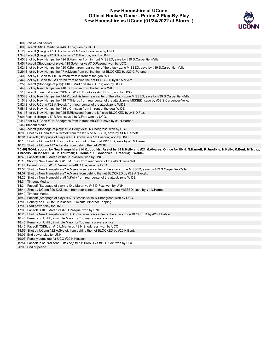# **New Hampshire at UConn Official Hockey Game - Period 2 Play-By-Play New Hampshire vs UConn (01/24/2022 at Storrs, )**



| [0:00] Start of 2nd period.                                                                                                                                                                                                                       |
|---------------------------------------------------------------------------------------------------------------------------------------------------------------------------------------------------------------------------------------------------|
| [0:00] Faceoff: #10 L.Martin vs #46 D.Fox; won by UCO.                                                                                                                                                                                            |
| [1:12] Faceoff (Icing): #17 B.Brooks vs #9 N.Snodgrass; won by UNH.                                                                                                                                                                               |
| [1:34] Faceoff (Icing): #17 B. Brooks vs #7 D. Pasqua; won by UNH.                                                                                                                                                                                |
| [1:45] Shot by New Hampshire #24 B.Hammer from in front MISSED, save by #39 S.Carpentier-Yelle.                                                                                                                                                   |
| [1:45] Faceoff (Stoppage of play): #15 S. Verrier vs #7 D. Pasqua; won by UCO.                                                                                                                                                                    |
| [2:02] Shot by New Hampshire #20 K.Bent from rear center of the attack zone MISSED, save by #39 S.Carpentier-Yelle.                                                                                                                               |
| [2:29] Shot by New Hampshire #7 A.Myers from behind the net BLOCKED by #20 C.Peterson.                                                                                                                                                            |
| [2:40] Shot by UConn #21 K. Thurman from in front of the goal WIDE.                                                                                                                                                                               |
| [2:44] Shot by UConn #22 A.Svetek from behind the net BLOCKED by #7 A.Myers.                                                                                                                                                                      |
| [3:25] Faceoff (Stoppage of play): #10 L.Martin vs #46 D.Fox; won by UCO.                                                                                                                                                                         |
| [3:44] Shot by New Hampshire #16 J.Christian from the left side WIDE.                                                                                                                                                                             |
| [3:51] Faceoff in neutral zone (OffSide): #17 B.Brooks vs #46 D.Fox; won by UCO.                                                                                                                                                                  |
| [4:33] Shot by New Hampshire #14 K.Juodikis from rear center of the attack zone MISSED, save by #39 S.Carpentier-Yelle.                                                                                                                           |
| [5:15] Shot by New Hampshire #18 T. Thierus from rear center of the attack zone MISSED, save by #39 S. Carpentier-Yelle.                                                                                                                          |
| [5:52] Shot by UConn #22 A. Svetek from rear center of the attack zone WIDE.                                                                                                                                                                      |
| [7:58] Shot by New Hampshire #16 J.Christian from in front of the goal WIDE.                                                                                                                                                                      |
| [8:01] Shot by New Hampshire #25 E.Rickwood from the left side BLOCKED by #46 D.Fox.                                                                                                                                                              |
| [8:09] Faceoff (Icing): #17 B. Brooks vs #46 D. Fox; won by UCO.                                                                                                                                                                                  |
| [9:44] Shot by UConn #9 N.Snodgrass from in front MISSED, save by #1 N.Harnett.                                                                                                                                                                   |
| [9:44] Timeout Media.                                                                                                                                                                                                                             |
| [9:44] Faceoff (Stoppage of play): #3 A.Berry vs #9 N.Snodgrass; won by UCO.                                                                                                                                                                      |
| [10:00] Shot by UConn #22 A.Svetek from the left side MISSED, save by #1 N.Harnett.                                                                                                                                                               |
| [10:01] Faceoff (Stoppage of play): #17 B.Brooks vs #7 D.Pasqua; won by UNH.                                                                                                                                                                      |
| [10:13] Shot by UConn #7 D. Pasqua from in front of the goal MISSED, save by #1 N. Harnett.                                                                                                                                                       |
| [10:23] Shot by UConn #77 A.Landry from behind the net WIDE.                                                                                                                                                                                      |
|                                                                                                                                                                                                                                                   |
|                                                                                                                                                                                                                                                   |
| [10:46] GOAL scored by New Hampshire #14 K.Juodikis, Assist by #8 N.Kelly and #21 M.Alvarez; On ice for UNH: N.Harnett; K.Juodikis; N.Kelly; K.Bent; M.Truax;<br>B.Brooks. On ice for UCO: K.Thurman; C.Tormala; C.Gonsalves; D.Pasqua; T.Wabick. |
| [10:46] Faceoff: #10 L.Martin vs #29 K.Klassen; won by UNH.                                                                                                                                                                                       |
| [11:10] Shot by New Hampshire #13 M. Truax from rear center of the attack zone WIDE.                                                                                                                                                              |
| [11:47] Faceoff (Icing): #15 S. Verrier vs #46 D. Fox; won by UCO.                                                                                                                                                                                |
| [13:50] Shot by New Hampshire #7 A.Myers from rear center of the attack zone MISSED, save by #39 S.Carpentier-Yelle.                                                                                                                              |
| [14:07] Shot by New Hampshire #7 A.Myers from behind the net BLOCKED by #22 A.Svetek.                                                                                                                                                             |
| [14:22] Shot by New Hampshire #8 N.Kelly from rear center of the attack zone WIDE.                                                                                                                                                                |
| [14:34] Timeout Media.                                                                                                                                                                                                                            |
| [14:34] Faceoff (Stoppage of play): #10 L.Martin vs #46 D.Fox; won by UNH.                                                                                                                                                                        |
| [15:41] Shot by UConn #29 K.Klassen from rear center of the attack zone MISSED, save by #1 N.Harnett.                                                                                                                                             |
| [15:42] Timeout Media.                                                                                                                                                                                                                            |
| [15:42] Faceoff (Stoppage of play): #17 B.Brooks vs #9 N.Snodgrass; won by UCO.                                                                                                                                                                   |
| [17:03] Penalty on UCO #29 K.Klassen; 2 minute Minor for Tripping.                                                                                                                                                                                |
| [17:03] Start power play for UNH.                                                                                                                                                                                                                 |
| [17:03] Faceoff: #10 L.Martin vs #7 D.Pasqua; won by UNH.                                                                                                                                                                                         |
| [18:28] Shot by New Hampshire #17 B.Brooks from rear center of the attack zone BLOCKED by #25 J.Habisch.                                                                                                                                          |
| [18:45] Penalty on UNH; 2 minute Minor for Too many players on ice.                                                                                                                                                                               |
| [18:45] Penalty on UNH; 2 minute Minor for Too many players on ice.                                                                                                                                                                               |
| [18:45] Faceoff (OffSide): #10 L.Martin vs #9 N.Snodgrass; won by UCO.                                                                                                                                                                            |
| [18:59] Shot by UConn #22 A.Svetek from behind the net BLOCKED by #20 K.Bent.                                                                                                                                                                     |
| [19:03] End power play for UNH.                                                                                                                                                                                                                   |
| [19:03] Penalty complete for UCO #29 K.Klassen.                                                                                                                                                                                                   |
| [19:54] Faceoff in neutral zone (OffSide): #17 B.Brooks vs #46 D.Fox; won by UCO.                                                                                                                                                                 |